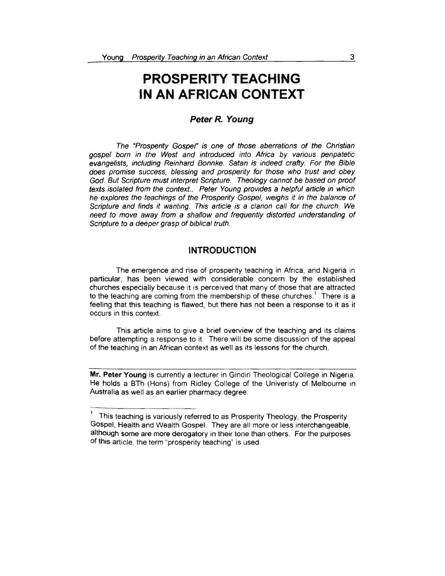# **PROSPERITY TEACHING IN AN AFRICAN CONTEXT**

# **Peter** *R.* **Young**

The "Prosperity Gospel" is one of those aberrations of the Christian gospel born in the West and introduced into Africa by various peripatetic evangelists, including Reinhard Bonnke. Satan is indeed crafty. For the Bible does promise success, blessing and prosperity for those who trust and obey God. But Scripture must interpret Scripture. Theology cannot be based on proof texts isolated from the context.. Peter Young provides a helpful article in which he explores the teachings of the Prosperity Gospel, weighs it in the balance of Scripture and finds it wanting. This article is a clarion call for the church. We need to move away from a shallow and frequently distorted understanding of Scripture to a deeper grasp of biblical truth.

# **INTRODUCTION**

The emergence and rise of prosperity teaching in Africa, and Nigeria in particular, has been viewed with considerable concern by the established churches especially because it is perceived that many of those that are attracted o the teaching are coming from the membership of these churches.<sup>1</sup> There is a feeling that this teaching is flawed, but there has not been a response to it as it occurs in this context.

This article aims to give a brief overview of the teaching and its claims before attempting a response to it. There will be some discussion of the appeal of the teaching in an African context as well as its lessons for the church.

**Mr. Peter Young** is currently a lecturer in Gindiri Theological College in Nigeria. He holds a BTh (Hons) from Ridley College of the Univeristy of Melbourne in Australia as well as an earlier pharmacy degree.

<sup>1</sup>This teaching is variously referred to as Prosperity Theology, the Prosperity Gospel, Health and Wealth Gospel. They are all more or less interchangeable, although some are more derogatory in their tone than others. For the purposes of this article, the term "prosperity teaching" is used.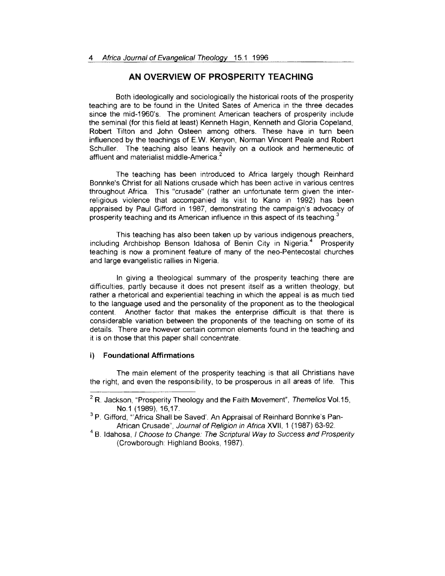# **AN OVERVIEW OF PROSPERITY TEACHING**

Both ideologically and sociologically the historical roots of the prosperity teaching are to be found in the United Sates of America in the three decades since the mid-1960's. The prominent American teachers of prosperity include the seminal (for this field at least) Kenneth Hagin, Kenneth and Gloria Copeland, Robert Tilton and John Osteen among others. These have in turn been influenced by the teachings of E.W. Kenyon, Norman Vincent Peale and Robert Schuller. The teaching also leans heavily on a outlook and hermeneutic of affluent and materialist middle-America. 2

The teaching has been introduced to Africa largely though Reinhard Bonnke's Christ for all Nations crusade which has been active in various centres throughout Africa. This "crusade" (rather an unfortunate term given the interreligious violence that accompanied its visit to Kano in 1992) has been appraised by Paul Gifford in 1987, demonstrating the campaign's advocacy of prosperity teaching and its American influence in this aspect of its teaching. $^3$ 

This teaching has also been taken up by various indigenous preachers, including Archbishop Benson Idahosa of Benin City in Nigeria.<sup>4</sup> Prosperity teaching is now a prominent feature of many of the neo-Pentecostal churches and large evangelistic rallies in Nigeria.

In giving a theological summary of the prosperity teaching there are difficulties, partly because it does not present itself as a written theology, but rather a rhetorical and experiential teaching in which the appeal is as much tied to the language used and the personality of the proponent as to the theological content. Another factor that makes the enterprise difficult is that there is considerable variation between the proponents of the teaching on some of its details. There are however certain common elements found in the teaching and it is on those that this paper shall concentrate.

#### **i) Foundational Affirmations**

The main element of the prosperity teaching is that all Christians have the right, and even the responsibility, to be prosperous in all areas of life. This

(Crowborough: Highland Books, 1987).

 $2 R$ . Jackson, "Prosperity Theology and the Faith Movement", Themelios Vol.15, No.1 (1989), 16,17.

<sup>&</sup>lt;sup>3</sup> P. Gifford. "Africa Shall be Saved'. An Appraisal of Reinhard Bonnke's Pan-African Crusade", Journal of Religion in Africa XVII, 1 (1987) 63-92.<br><sup>4</sup> B. Idahosa, *I Choose to Change: The Scriptural Way to Success and Prosperity*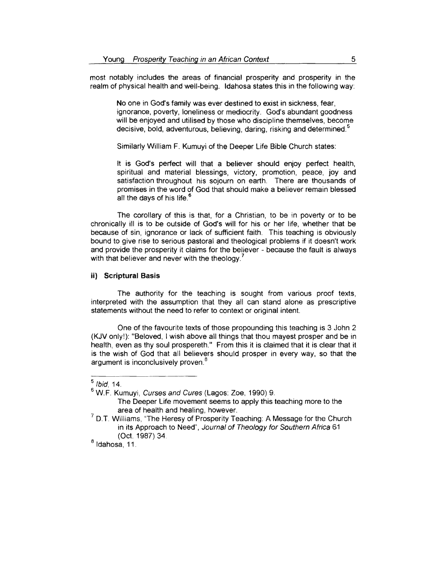most notably includes the areas of financial prosperity and prosperity in the realm of physical health and well-being. ldahosa states this in the following way:

> No one in God's family was ever destined to exist in sickness, fear, ignorance, poverty, loneliness or mediocrity. God's abundant goodness will be enjoyed and utilised by those who discipline themselves, become decisive, bold, adventurous, believing, daring, risking and determined.

Similarly William F. Kumuyi of the Deeper Life Bible Church states:

lt is God's perfect will that a believer should enjoy perfect health, spiritual and material blessings, victory, promotion, peace, joy and satisfaction throughout his sojourn on earth. There are thousands of promises in the word of God that should make a believer remain blessed all the davs of his life.<sup>6</sup>

The corollary of this is that, for a Christian, to be in poverty or to be chronically ill is to be outside of God's will for his or her life, whether that be because of sin, ignorance or lack of sufficient faith. This teaching is obviously bound to give rise to serious pastoral and theological problems if it doesn't work and provide the prosperity it claims for the believer - because the fault is always with that believer and never with the theology.<sup>7</sup>

# ii) **Scriptural Basis**

The authority for the teaching is sought from various proof texts, interpreted with the assumption that they all can stand alone as prescriptive statements without the need to refer to context or original intent.

One of the favourite texts of those propounding this teaching is 3 John 2 (KJV only!): "Beloved, I wish above all things that thou mayest prosper and be in health, even as thy soul prospereth." From this it is claimed that it is clear that it is the wish of God that all believers should prosper in every way, so that the argument is inconclusively proven.<sup>8</sup>

 $<sup>5</sup>$  Ibid, 14.</sup>

<sup>6</sup>W.F. Kumuyi, Curses and Cures (Lagos: Zoe, 1990) 9.

The Deeper Life movement seems to apply this teaching more to the area of health and healing, however.

 $<sup>7</sup>$  D.T. Williams, "The Heresy of Prosperity Teaching: A Message for the Church</sup> in its Approach to Need", Journal of Theology for Southern Africa 61 (Oct. 1987) 34

 $<sup>8</sup>$  Idahosa, 11.</sup>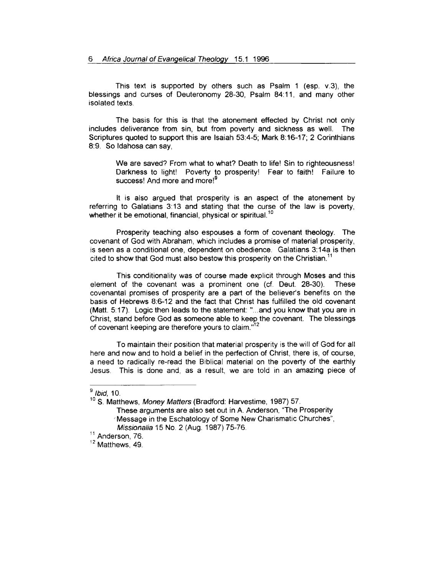This text is supported by others such as Psalm 1 (esp. v.3), the blessings and curses of Deuteronomy 28-30, Psalm 84:11, and many other isolated texts.

The basis for this is that the atonement effected by Christ not only includes deliverance from sin, but from poverty and sickness as well. The Scriptures quoted to support this are Isaiah 53:4-5; Mark 8:16-17; 2 Corinthians 8:9. So ldahosa can say,

> We are saved? From what to what? Death to life! Sin to righteousness! Darkness to light! Poverty to prosperity! Fear to faith! Failure to success! And more and more!<sup>9</sup>

lt is also argued that prosperity is an aspect of the atonement by referring to Galatians 3: 13 and stating that the curse of the law is poverty, whether it be emotional, financial, physical or spiritual.<sup>10</sup>

Prosperity teaching also espouses a form of covenant theology. The covenant of God with Abraham, which includes a promise of material prosperity, is seen as a conditional one, dependent on obedience. Galatians 3:14a is then cited to show that God must also bestow this prosperity on the Christian.

This conditionality was of course made explicit through Moses and this element of the covenant was a prominent one (cf. Deut. 28-30). These covenantal promises of prosperity are a part of the believer's benefits on the basis of Hebrews 8:6-12 and the fact that Christ has fulfilled the old covenant (Matt. 5:17). Logic then leads to the statement: "... and you know that you are in Christ, stand before God as someone able to keep the covenant. The blessings of covenant keeping are therefore yours to claim."<sup>12</sup>

To maintain their position that material prosperity is the will of God for all here and now and to hold a belief in the perfection of Christ, there is, of course, a need to radically re-read the Biblical material on the poverty of the earthly Jesus. This is done and, as a result, we are told in an amazing piece of

<sup>9</sup>*/bid,* 10.

<sup>&</sup>lt;sup>10</sup> S. Matthews, Money Matters (Bradford: Harvestime, 1987) 57. These arguments are also set out in A. Anderson, "The Prosperity ·· Message in the Eschatology of Some New Charismatic Churches", *Missionalia* 15 No. 2 (Aug. 1987) 75-76.<br><sup>11</sup> Anderson, 76.

 $12$  Matthews, 49.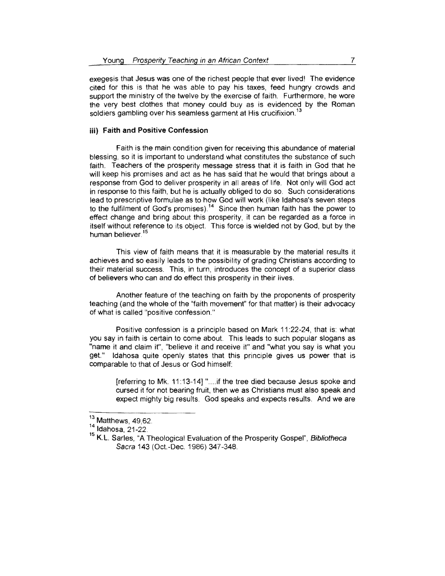exegesis that Jesus was one of the richest people that ever lived' The evidence cited for this is that he was able to pay his taxes, feed hungry crowds and support the ministry of the twelve by the exercise of faith. Furthermore, he wore he very best clothes that money could buy as is evidenced by the Roman soldiers gambling over his seamless garment at His crucifixion.<sup>13</sup>

#### **iii) Faith and Positive Confession**

Faith is the main condition given for receiving this abundance of material blessing, so it is important to understand what constitutes the substance of such faith. Teachers of the prosperity message stress that it is faith in God that he will keep his promises and act as he has said that he would that brings about a response from God to deliver prosperity in all areas of life. Not only will God act in response to this faith, but he is actually obliged to do so. Such considerations lead to prescriptive formulae as to how God will work (like ldahosa's seven steps o the fulfilment of God's promises).<sup>14</sup> Since then human faith has the power to effect change and bring about this prosperity, it can be regarded as a force in itself without reference to its object. This force is wielded not by God, but by the iuman believer.<sup>15</sup>

This view of faith means that it is measurable by the material results it achieves and so easily leads to the possibility of grading Christians according to their material success. This, in turn, introduces the concept of a superior class of believers who can and do effect this prosperity in their lives.

Another feature of the teaching on faith by the proponents of prosperity teaching (and the whole of the "faith movement" for that matter) is their advocacy of what is called "positive confession "

Positive confession is a principle based on Mark 11:22-24, that is: what you say in faith is certain to come about. This leads to such popular slogans as "name it and claim it", "believe it and receive it" and "what you say is what you get." ldahosa quite openly states that this principle gives us power that is comparable to that of Jesus or God himself:

[referring to Mk. 11: 13-14] " .... if the tree died because Jesus spoke and cursed it for not bearing fruit, then we as Christians must also speak and expect mighty big results. God speaks and expects results. And we are

 $^{13}$  Matthews, 49,62.<br> $^{14}$  Idahosa, 21-22.

<sup>&</sup>lt;sup>15</sup> K.L. Sarles, "A Theological Evaluation of the Prosperity Gospel", Bibliotheca Sacra 143 (Oct.-Dec. 1986) 347-348.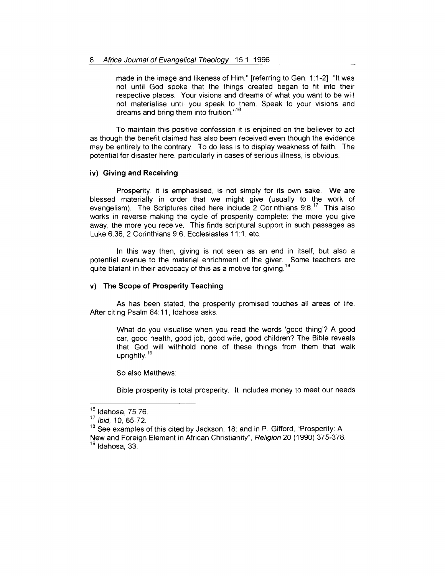made in the image and likeness of Him." [referring to Gen. 1: 1-2] "lt was not until God spoke that the things created began to fit into their respective places. Your visions and dreams of what you want to be will not materialise until you speak to them. Speak to your visions and dreams and bring them into fruition."<sup>16</sup>

To maintain this positive confession it is enjoined on the believer to act as though the benefit claimed has also been received even though the evidence may be entirely to the contrary. To do less is to display weakness of faith. The potential for disaster here, particularly in cases of serious illness, is obvious.

# iv) **Giving and Receiving**

Prosperity, it is emphasised, is not simply for its own sake. We are blessed materially in order that we might give (usually to the work of evangelism). The Scriptures cited here include 2 Corinthians  $9.8<sup>17</sup>$  This also works in reverse making the cycle of prosperity complete: the more you give away, the more you receive. This finds scriptural support in such passages as Luke 6:38, 2 Corinthians 9:6, Ecclesiastes 11:1, etc.

In this way then, giving is not seen as an end in itself, but also a potential avenue to the material enrichment of the giver. Some teachers are quite blatant in their advocacy of this as a motive for giving.<sup>18</sup>

#### **v) The Scope of Prosperity Teaching**

As has been stated, the prosperity promised touches all areas of life. After citing Psalm 84:11, ldahosa asks,

What do you visualise when you read the words 'good thing'? A good car, good health, good job, good wife, good children? The Bible reveals that God will withhold none of these things from them that walk uprightly. <sup>19</sup>

So also Matthews:

Bible prosperity is total prosperity. lt includes money to meet our needs

<sup>16</sup> Idahosa, 75,76.

<sup>17</sup>*/bid,* 10, 65-72.

<sup>&</sup>lt;sup>18</sup> See examples of this cited by Jackson, 18; and in P. Gifford, "Prosperity: A New and Foreign Element in African Christianity", Religion 20 (1990) 375-378. <sup>19</sup> Idahosa, 33.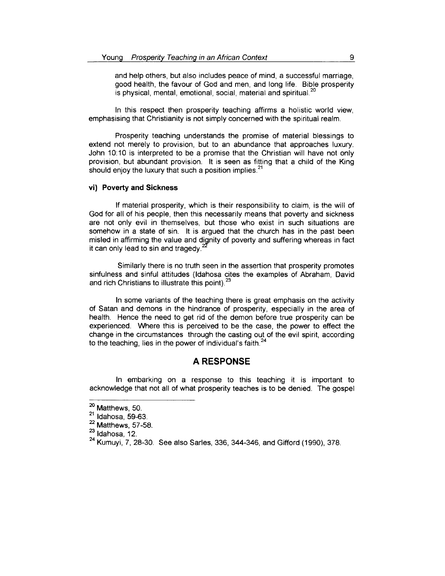and help others, but also includes peace of mind, a successful marriage, good health, the favour of God and men, and long life. Bible prosperity is physical, mental, emotional, social, material and spiritual.<sup>20</sup>

In this respect then prosperity teaching affirms a holistic world view, emphasising that Christianity is not simply concerned with the spiritual realm.

Prosperity teaching understands the promise of material blessings to extend not merely to provision, but to an abundance that approaches luxury. John 10:10 is interpreted to be a promise that the Christian will have not only provision, but abundant provision. lt is seen as fitting that a child of the King should enjoy the luxury that such a position implies. $21$ 

#### **vi) Poverty and Sickness**

If material prosperity, which is their responsibility to claim, is the will of God for all of his people, then this necessarily means that poverty and sickness are not only evil in themselves, but those who exist in such situations are somehow in a state of sin. lt is argued that the church has in the past been misled in affirming the value and dignity of poverty and suffering whereas in fact it can only lead to sin and tragedy. $<sup>2</sup>$ </sup>

Similarly there is no truth seen in the assertion that prosperity promotes sinfulness and sinful attitudes (ldahosa cites the examples of Abraham, David and rich Christians to illustrate this point).<sup>23</sup>

In some variants of the teaching there is great emphasis on the activity of Satan and demons in the hindrance of prosperity, especially in the area of health. Hence the need to get rid of the demon before true prosperity can be experienced. Where this is perceived to be the case, the power to effect the change in the circumstances through the casting out of the evil spirit, according to the teaching, lies in the power of individual's faith. $24$ 

## **A RESPONSE**

In embarking on a response to this teaching it is important to acknowledge that not all of what prosperity teaches is to be denied. The gospel

 $\frac{20}{21}$  Matthews, 50.<br> $\frac{21}{21}$  Idahosa, 59-63.

 $22$  Matthews, 57-58.

 $23$  Idahosa, 12.

 $^{24}$  Kumuyi, 7, 28-30. See also Sarles, 336, 344-346, and Gifford (1990), 378.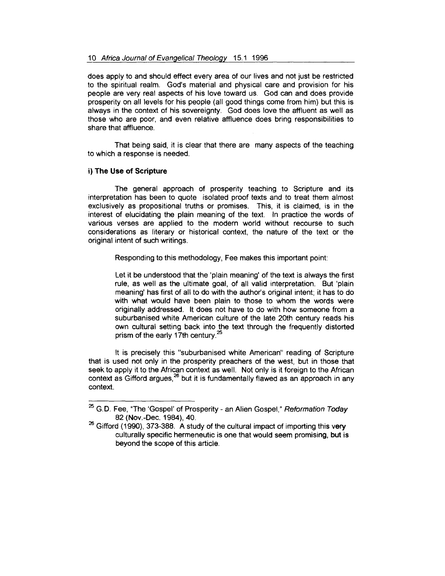does apply to and should effect every area of our lives and not just be restricted to the spiritual realm. God's material and physical care and provision for his people are very real aspects of his love toward us. God can and does provide prosperity on all levels for his people (all good things come from him) but this is always in the context of his sovereignty. God does love the affluent as well as those who are poor, and even relative affluence does bring responsibilities to share that affluence.

That being said, it is clear that there are many aspects of the teaching to which a response is needed.

#### i) The Use of Scripture

The general approach of prosperity teaching to Scripture and its interpretation has been to quote isolated proof texts and to treat them almost exclusively as propositional truths or promises. This, it is claimed, is in the interest of elucidating the plain meaning of the text. In practice the words of various verses are applied to the modern world without recourse to such considerations as literary or historical context, the nature of the text or the original intent of such writings.

Responding to this methodology, Fee makes this important point:

Let it be understood that the 'plain meaning' of the text is always the first rule, as well as the ultimate goal, of all valid interpretation. But 'plain meaning' has first of all to do with the author's original intent; it has to do with what would have been plain to those to whom the words were originally addressed. lt does not have to do with how someone from a suburbanised white American culture of the late 20th century reads his own cultural setting back into the text through the frequently distorted prism of the early 17th century.<sup>25</sup>

lt is precisely this "suburbanised white American" reading of Scripture that is used not only in the prosperity preachers of the west, but in those that seek to apply it to the African context as well. Not only is it foreign to the African context as Gifford argues,<sup>26</sup> but it is fundamentally flawed as an approach in any context.

<sup>&</sup>lt;sup>25</sup> G.D. Fee, "The 'Gospel' of Prosperity - an Alien Gospel," Reformation Today 82 (Nov.-Dec. 1984), 40.

 $26$  Gifford (1990), 373-388. A study of the cultural impact of importing this very culturally specific hermeneutic is one that would seem promising, but is beyond the scope of this article.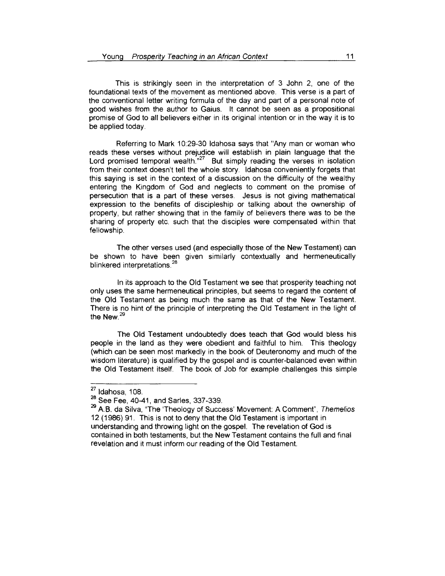This is strikingly seen in the interpretation of 3 John 2, one of the foundational texts of the movement as mentioned above. This verse is a part of the conventional letter writing formula of the day and part of a personal note of good wishes from the author to Gaius. lt cannot be seen as a propositional promise of God to all believers either in its original intention or in the way it is to be applied today.

Referring to Mark 10:29-30 ldahosa says that "Any man or woman who reads these verses without prejudice will establish in plain language that the Lord promised temporal wealth. $n^{27}$  But simply reading the verses in isolation from their context doesn't tell the whole story. ldahosa conveniently forgets that this saying is set in the context of a discussion on the difficulty of the wealthy entering the Kingdom of God and neglects to comment on the promise of persecution that is a part of these verses. Jesus is not giving mathematical expression to the benefits of discipleship or talking about the ownership of property, but rather showing that in the family of believers there was to be the sharing of property etc. such that the disciples were compensated within that fellowship.

The other verses used (and especially those of the New Testament) can be shown to have been given similarly contextually and hermeneutically blinkered interpretations. <sup>28</sup>

In its approach to the Old Testament we see that prosperity teaching not only uses the same hermeneutical principles, but seems to regard the content of the Old Testament as being much the same as that of the New Testament. There is no hint of the principle of interpreting the Old Testament in the light of the New.<sup>29</sup>

The Old Testament undoubtedly does teach that God would bless his people in the land as they were obedient and faithful to him. This theology (which can be seen most markedly in the book of Deuteronomy and much of the wisdom literature) is qualified by the gospel and is counter-balanced even within the Old Testament itself. The book of Job for example challenges this simple

 $27$  Idahosa, 108.

<sup>28</sup> See Fee, 40-41, and Sarles, 337-339.

<sup>&</sup>lt;sup>29</sup> A.B. da Silva, "The 'Theology of Success' Movement: A Comment", Themelios 12 (1986) 91. This is not to deny that the Old Testament is important in understanding and throwing light on the gospel. The revelation of God is contained in both testaments, but the New Testament contains the full and final revelation and it must inform our reading of the Old Testament.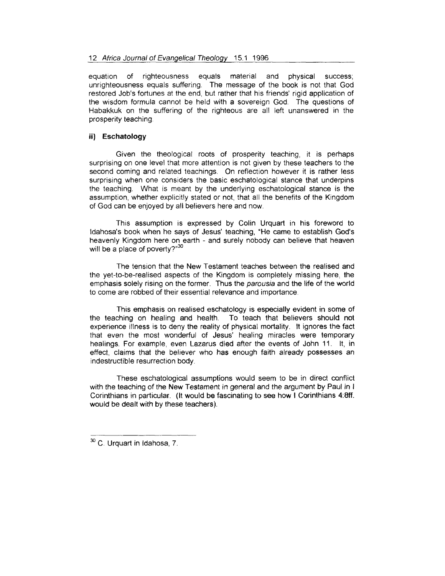equation of righteousness equals material and physical success; unrighteousness equals suffering. The message of the book is not that God restored Job's fortunes at the end, but rather that his friends' rigid application of the wisdom formula cannot be held with a sovereign God. The questions of Habakkuk on the suffering of the righteous are all left unanswered in the prosperity teaching.

### ii) **Eschatology**

Given the theological roots of prosperity teaching, it is perhaps surprising on one level that more attention is not given by these teachers to the second coming and related teachings. On reflection however it is rather less surprising when one considers the basic eschatological stance that underpins the teaching. What is meant by the underlying eschatological stance is the assumption, whether explicitly stated or not, that all the benefits of the Kingdom of God can be enjoyed by all believers here and now.

This assumption is expressed by Colin Urquart in his foreword to ldahosa's book when he says of Jesus' teaching, "He came to establish God's heavenly Kingdom here on earth - and surely nobody can believe that heaven will be a place of poverty?"30

The tension that the New Testament teaches between the realised and the yet-to-be-realised aspects of the Kingdom is completely missing here, the emphasis solely rising on the former. Thus the parousia and the life of the world to come are robbed of their essential relevance and importance

This emphasis on realised eschatology is especially evident in some of the teaching on healing and health. To teach that believers should not experience illness is to deny the reality of physical mortality. tt ignores the fact that even the most wonderful of Jesus' healing miracles were temporary healings. For example, even Lazarus died after the events of John 11. lt, in effect, claims that the believer who has enough faith already possesses an indestructible resurrection body.

These eschatological assumptions would seem to be in direct conflict with the teaching of the New Testament in general and the argument by Paul in I Corinthians in particular. (lt would be fascinating to see how I Corinthians 4:8ff. would be dealt with by these teachers).

<sup>&</sup>lt;sup>30</sup> C. Urquart in Idahosa, 7.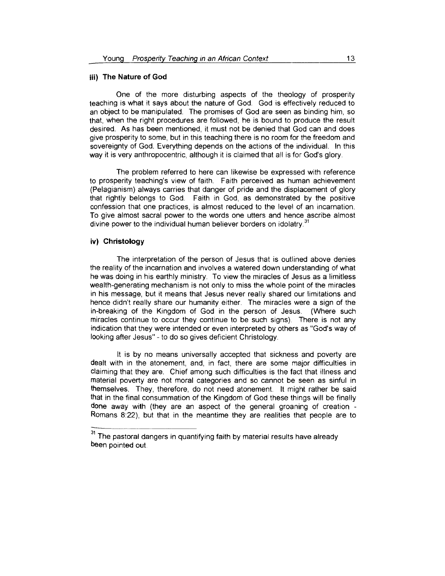#### **iii) The Nature of God**

One of the more disturbing aspects of the theology of prosperity teaching is what it says about the nature of God God is effectively reduced to an object to be manipulated. The promises of God are seen as binding him, so that, when the right procedures are followed, he is bound to produce the result desired. As has been mentioned, it must not be denied that God can and does give prosperity to some, but in this teaching there is no room for the freedom and sovereignty of God. Everything depends on the actions of the individual. In this way it is very anthropocentric, although it is claimed that all is for God's glory.

The problem referred to here can likewise be expressed with reference to prosperity teaching's view of faith. Faith perceived as human achievement (Pelagianism) always carries that danger of pride and the displacement of glory that rightly belongs to God. Faith in God, as demonstrated by the positive confession that one practices, is almost reduced to the level of an incarnation. To give almost sacral power to the words one utters and hence ascribe almost divine power to the individual human believer borders on idolatry.<sup>31</sup>

# **iv) Christology**

The interpretation of the person of Jesus that is outlined above denies the reality of the incarnation and involves a watered down understanding of what he was doing in his earthly ministry. To view the miracles of Jesus as a limitless wealth-generating mechanism is not only to miss the whole point of the miracles in his message, but it means that Jesus never really shared our limitations and hence didn't really share our humanity either. The miracles were a sign of the in-breaking of the Kingdom of God in the person of Jesus. (Where such miracles continue to occur they continue to be such signs). There is not any indication that they were intended or even interpreted by others as "God's way of looking after Jesus" - to do so gives deficient Christology.

lt is by no means universally accepted that sickness and poverty are dealt with in the atonement, and, in fact, there are some major difficulties in claiming that they are. Chief among such difficulties is the fact that illness and material poverty are not moral categories and so cannot be seen as sinful in themselves. They, therefore, do not need atonement. lt might rather be said that in the final consummation of the Kingdom of God these things will be finally done away with (they are an aspect of the general groaning of creation - Romans 8:22), but that in the meantime they are realities that people are to

<sup>&</sup>lt;sup>31</sup>The pastoral dangers in quantifying faith by material results have already been pointed out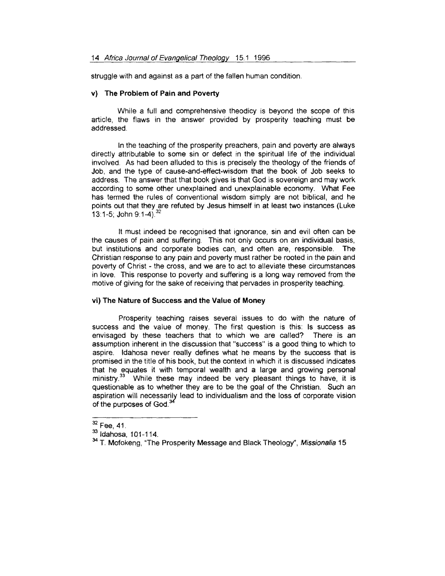struggle with and against as a part of the fallen human condition.

#### **v) The Problem of Pain and Poverty**

While a full and comprehensive theodicy is beyond the scope of this article, the flaws in the answer provided by prosperity teaching must be addressed.

In the teaching of the prosperity preachers, pain and poverty are always directly attributable to some sin or defect in the spiritual life of the individual involved. As had been alluded to this is precisely the theology of the friends of Job, and the type of cause-and-effect-wisdom that the book of Job seeks to address. The answer that that book gives is that God is sovereign and may work according to some other unexplained and unexplainable economy. What Fee has termed the rules of conventional wisdom simply are not biblical, and he ooints out that they are refuted by Jesus himself in at least two instances (Luke 13:1-5; John 9:1-4).  $32$ 

lt must indeed be recognised that ignorance, sin and evil often can be the causes of pain and suffering. This not only occurs on an individual basis, but institutions and corporate bodies can, and often are, responsible. The Christian response to any pain and poverty must rather be rooted in the pain and poverty of Christ- the cross, and we are to act to alleviate these circumstances in love. This response to poverty and suffering is a long way removed from the motive of giving for the sake of receiving that pervades in prosperity teaching.

#### **vi) The Nature of Success and the Value of Money**

Prosperity teaching raises several issues to do with the nature of success and the value of money. The first question is this: Is success as envisaged by these teachers that to which we are called? There is an assumption inherent in the discussion that "success" is a good thing to which to aspire. ldahosa never really defines what he means by the success that is promised in the title of his book, but the context in which it is discussed indicates that he equates it with temporal wealth and a large and growing personal mat he equates it with temporal wealth and a large and growing personal.<br>ninistry.<sup>33</sup> While these may indeed be very pleasant things to have, it is questionable as to whether they are to be the goal of the Christian. Such an aspiration will necessarily lead to individualism and the loss of corporate vision of the purposes of God.<sup>34</sup>

 $32$  Fee, 41.

<sup>33</sup> Idahosa, 101-114.

<sup>&</sup>lt;sup>34</sup> T. Mofokeng, "The Prosperity Message and Black Theology", Missionalia 15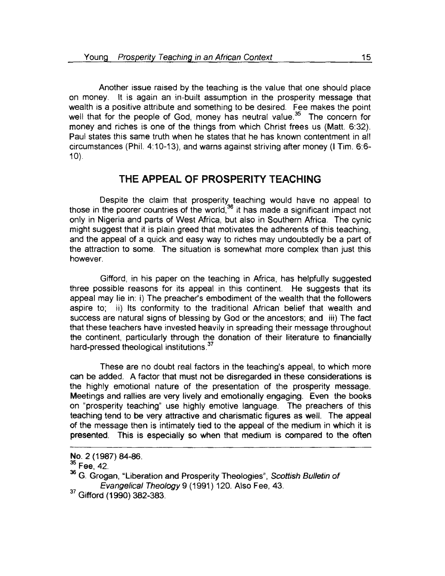Another issue raised by the teaching is the value that one should place on money. lt is again an in-built assumption in the prosperity message that wealth is a positive attribute and something to be desired. Fee makes the point well that for the people of God, money has neutral value.<sup>35</sup> The concern for money and riches is one of the things from which Christ frees us (Matt. 6:32). Paul states this same truth when he states that he has known contentment in all circumstances (Phil. 4:10-13), and warns against striving after money (I Tim. 6:6-  $10$ ).

# **THE APPEAL OF PROSPERITY TEACHING**

Despite the claim that prosperity teaching would have no appeal to  $t_{\rm}$  is the stall that prosperty to do might value that appear to the support of the world,  $36$  if has made a significant impact not only in Nigeria and parts of West Africa, but also in Southern Africa. The cynic might suggest that it is plain greed that motivates the adherents of this teaching, and the appeal of a quick and easy way to riches may undoubtedly be a part of the attraction to some. The situation is somewhat more complex than just this however.

Gifford, in his paper on the teaching in Africa, has helpfully suggested three possible reasons for its appeal in this continent. He suggests that its appeal may lie in: i) The preacher's embodiment of the wealth that the followers aspire to; ii) Its conformity to the traditional African belief that wealth and success are natural signs of blessing by God or the ancestors; and iii) The fact that these teachers have invested heavily in spreading their message throughout the continent, particularly through the donation of their literature to financially hard-pressed theological institutions.<sup>37</sup>

These are no doubt real factors in the teaching's appeal, to which more can be added. A factor that must not be disregarded in these considerations is the highly emotional nature of the presentation of the prosperity message. Meetings and rallies are very lively and emotionally engaging. Even the books on "prosperity teaching" use highly emotive language. The preachers of this teaching tend to be very attractive and charismatic figures as well. The appeal of the message then is intimately tied to the appeal of the medium in which it is presented. This is especially so when that medium is compared to the often

<sup>37</sup> Gifford (1990) 382-383.

No. 2 (1987) 84-86.<br><sup>35</sup> Fee, 42.

<sup>36</sup> G. Grogan, "Liberation and Prosperity Theologies", Scottish Bulletin of Evangelical Theology 9 (1991) 120. Also Fee, 43.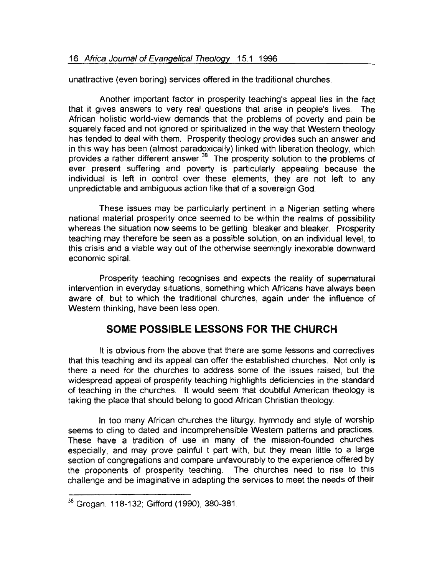unattractive (even boring) services offered in the traditional churches.

Another important factor in prosperity teaching's appeal lies in the fact that it gives answers to very real questions that arise in people's lives. The African holistic world-view demands that the problems of poverty and pain be squarely faced and not ignored or spiritualized in the way that Western theology has tended to deal with them. Prosperity theology provides such an answer and in this way has been (almost paradoxically) linked with liberation theology, which provides a rather different answer.<sup>38</sup> The prosperity solution to the problems of ever present suffering and poverty is particularly appealing because the individual is left in control over these elements, they are not left to any unpredictable and ambiguous action like that of a sovereign God.

These issues may be particularly pertinent in a Nigerian setting where national material prosperity once seemed to be within the realms of possibility whereas the situation now seems to be getting bleaker and bleaker. Prosperity teaching may therefore be seen as a possible solution, on an individual level, to this crisis and a viable way out of the otherwise seemingly inexorable downward economic spiral.

Prosperity teaching recognises and expects the reality of supernatural intervention in everyday situations, something which Africans have always been aware of, but to which the traditional churches, again under the influence of Western thinking, have been less open.

# **SOME POSSIBLE LESSONS FOR THE CHURCH**

lt is obvious from the above that there are some lessons and correctives that this teaching and its appeal can offer the established churches. Not only is there a need for the churches to address some of the issues raised, but the widespread appeal of prosperity teaching highlights deficiencies in the standard of teaching in the churches. lt would seem that doubtful American theology is taking the place that should belong to good African Christian theology.

In too many African churches the liturgy, hymnody and style of worship seems to cling to dated and incomprehensible Western patterns and practices. These have a tradition of use in many of the mission-founded churches especially, and may prove painful t part with, but they mean little to a large section of congregations and compare unfavourably to the experience offered by the proponents of prosperity teaching. The churches need to rise to this challenge and be imaginative in adapting the services to meet the needs of their

 $38$  Grogan, 118-132; Gifford (1990), 380-381.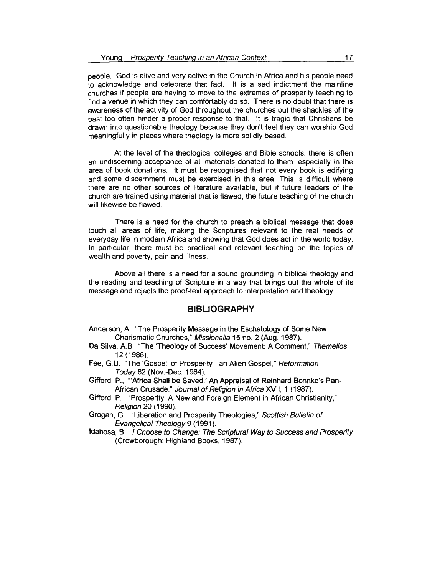people. God is alive and very active in the Church in Africa and his people need to acknowledge and celebrate that fact. lt is a sad indictment the mainline churches if people are having to move to the extremes of prosperity teaching to find a venue in which they can comfortably do so. There is no doubt that there is awareness of the activity of God throughout the churches but the shackles of the past too often hinder a proper response to that. lt is tragic that Christians be drawn into questionable theology because they don't feel they can worship God meaningfully in places where theology is more solidly based.

At the level of the theological colleges and Bible schools, there is often an undiscerning acceptance of all materials donated to them, especially in the area of book donations. lt must be recognised that not every book is edifying and some discernment must be exercised in this area. This is difficult where there are no other sources of literature available, but if future leaders of the church are trained using material that is flawed, the future teaching of the church will likewise be flawed.

There is a need for the church to preach a biblical message that does touch all areas of life, making the Scriptures relevant to the real needs · of everyday life in modern Africa and showing that God does act in the world today. In particular, there must be practical and relevant teaching on the topics of wealth and poverty, pain and illness.

Above all there is a need for a sound grounding in biblical theology and the reading and teaching of Scripture in a way that brings out the whole of its message and rejects the proof-text approach to interpretation and theology.

## **BIBLIOGRAPHY**

- Anderson, A. "The Prosperity Message in the Eschatology of Some New Charismatic Churches," Missionalia 15 no. 2 (Aug. 1987).
- Da Silva, A.B. "The 'Theology of Success' Movement: A Comment," Themelios 12 (1986).
- Fee, G.D. "The 'Gospel' of Prosperity an Alien Gospel," Reformation Today82 (Nov.-Dec. 1984).
- Gifford, P., "'Africa Shall be Saved.' An Appraisal of Reinhard Bonnke's Pan-African Crusade," Journal of Religion in Africa XVII, 1 (1987).
- Gifford, P. "Prosperity: A New and Foreign Element in African Christianity," Religion 20 ( 1990).
- Grogan, G. "Liberation and Prosperity Theologies," Scottish Bulletin of Evangelical Theology 9 (1991).
- ldahosa, B. I Choose to Change: The Scriptural Way to Success and Prosperity (Crowborough: Highland Books, 1987).